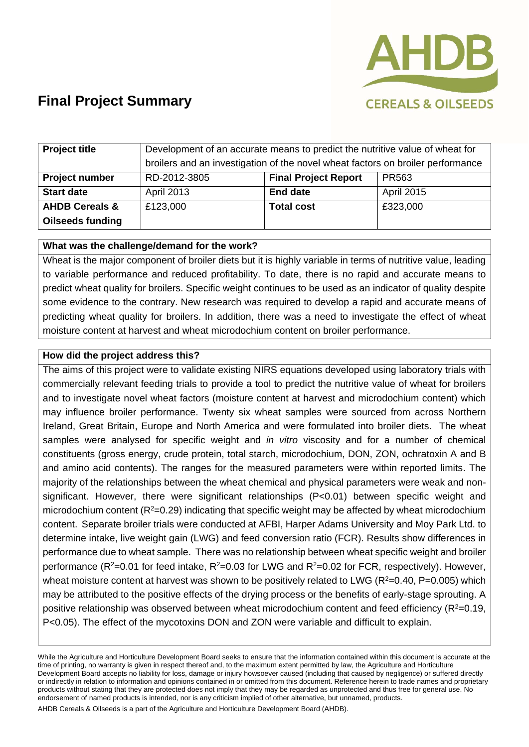

# **Final Project Summary**

| <b>Project title</b>      | Development of an accurate means to predict the nutritive value of wheat for    |                             |                   |
|---------------------------|---------------------------------------------------------------------------------|-----------------------------|-------------------|
|                           | broilers and an investigation of the novel wheat factors on broiler performance |                             |                   |
| Project number            | RD-2012-3805                                                                    | <b>Final Project Report</b> | PR <sub>563</sub> |
| <b>Start date</b>         | <b>April 2013</b>                                                               | <b>End date</b>             | April 2015        |
| <b>AHDB Cereals &amp;</b> | £123,000                                                                        | <b>Total cost</b>           | £323,000          |
| <b>Oilseeds funding</b>   |                                                                                 |                             |                   |

### **What was the challenge/demand for the work?**

Wheat is the major component of broiler diets but it is highly variable in terms of nutritive value, leading to variable performance and reduced profitability. To date, there is no rapid and accurate means to predict wheat quality for broilers. Specific weight continues to be used as an indicator of quality despite some evidence to the contrary. New research was required to develop a rapid and accurate means of predicting wheat quality for broilers. In addition, there was a need to investigate the effect of wheat moisture content at harvest and wheat microdochium content on broiler performance.

### **How did the project address this?**

The aims of this project were to validate existing NIRS equations developed using laboratory trials with commercially relevant feeding trials to provide a tool to predict the nutritive value of wheat for broilers and to investigate novel wheat factors (moisture content at harvest and microdochium content) which may influence broiler performance. Twenty six wheat samples were sourced from across Northern Ireland, Great Britain, Europe and North America and were formulated into broiler diets. The wheat samples were analysed for specific weight and *in vitro* viscosity and for a number of chemical constituents (gross energy, crude protein, total starch, microdochium, DON, ZON, ochratoxin A and B and amino acid contents). The ranges for the measured parameters were within reported limits. The majority of the relationships between the wheat chemical and physical parameters were weak and nonsignificant. However, there were significant relationships (P<0.01) between specific weight and microdochium content  $(R^2=0.29)$  indicating that specific weight may be affected by wheat microdochium content. Separate broiler trials were conducted at AFBI, Harper Adams University and Moy Park Ltd. to determine intake, live weight gain (LWG) and feed conversion ratio (FCR). Results show differences in performance due to wheat sample. There was no relationship between wheat specific weight and broiler performance ( $R^2$ =0.01 for feed intake,  $R^2$ =0.03 for LWG and  $R^2$ =0.02 for FCR, respectively). However, wheat moisture content at harvest was shown to be positively related to LWG ( $R^2=0.40$ ,  $P=0.005$ ) which may be attributed to the positive effects of the drying process or the benefits of early-stage sprouting. A positive relationship was observed between wheat microdochium content and feed efficiency ( $R^2$ =0.19, P<0.05). The effect of the mycotoxins DON and ZON were variable and difficult to explain.

While the Agriculture and Horticulture Development Board seeks to ensure that the information contained within this document is accurate at the time of printing, no warranty is given in respect thereof and, to the maximum extent permitted by law, the Agriculture and Horticulture Development Board accepts no liability for loss, damage or injury howsoever caused (including that caused by negligence) or suffered directly or indirectly in relation to information and opinions contained in or omitted from this document. Reference herein to trade names and proprietary products without stating that they are protected does not imply that they may be regarded as unprotected and thus free for general use. No endorsement of named products is intended, nor is any criticism implied of other alternative, but unnamed, products.

AHDB Cereals & Oilseeds is a part of the Agriculture and Horticulture Development Board (AHDB).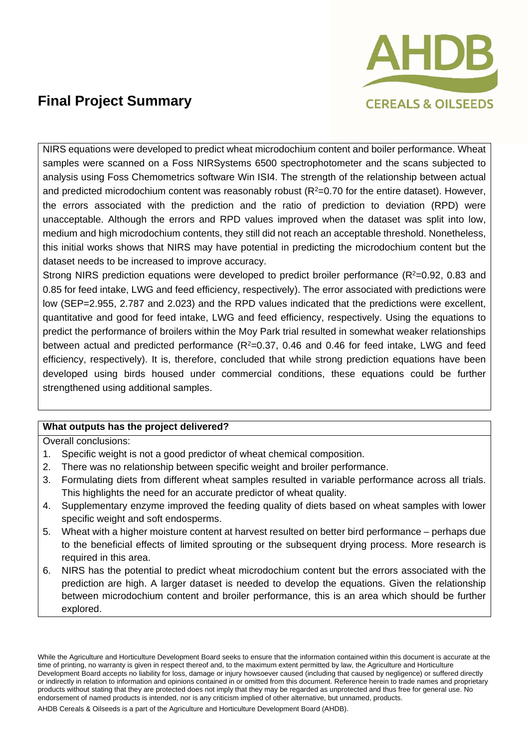

## **Final Project Summary**

NIRS equations were developed to predict wheat microdochium content and boiler performance. Wheat samples were scanned on a Foss NIRSystems 6500 spectrophotometer and the scans subjected to analysis using Foss Chemometrics software Win ISI4. The strength of the relationship between actual and predicted microdochium content was reasonably robust ( $R<sup>2</sup>=0.70$  for the entire dataset). However, the errors associated with the prediction and the ratio of prediction to deviation (RPD) were unacceptable. Although the errors and RPD values improved when the dataset was split into low, medium and high microdochium contents, they still did not reach an acceptable threshold. Nonetheless, this initial works shows that NIRS may have potential in predicting the microdochium content but the dataset needs to be increased to improve accuracy.

Strong NIRS prediction equations were developed to predict broiler performance ( $R<sup>2</sup>=0.92$ , 0.83 and 0.85 for feed intake, LWG and feed efficiency, respectively). The error associated with predictions were low (SEP=2.955, 2.787 and 2.023) and the RPD values indicated that the predictions were excellent, quantitative and good for feed intake, LWG and feed efficiency, respectively. Using the equations to predict the performance of broilers within the Moy Park trial resulted in somewhat weaker relationships between actual and predicted performance  $(R^2=0.37, 0.46$  and  $0.46$  for feed intake, LWG and feed efficiency, respectively). It is, therefore, concluded that while strong prediction equations have been developed using birds housed under commercial conditions, these equations could be further strengthened using additional samples.

### **What outputs has the project delivered?**

Overall conclusions:

- 1. Specific weight is not a good predictor of wheat chemical composition.
- 2. There was no relationship between specific weight and broiler performance.
- 3. Formulating diets from different wheat samples resulted in variable performance across all trials. This highlights the need for an accurate predictor of wheat quality.
- 4. Supplementary enzyme improved the feeding quality of diets based on wheat samples with lower specific weight and soft endosperms.
- 5. Wheat with a higher moisture content at harvest resulted on better bird performance perhaps due to the beneficial effects of limited sprouting or the subsequent drying process. More research is required in this area.
- 6. NIRS has the potential to predict wheat microdochium content but the errors associated with the prediction are high. A larger dataset is needed to develop the equations. Given the relationship between microdochium content and broiler performance, this is an area which should be further explored.

While the Agriculture and Horticulture Development Board seeks to ensure that the information contained within this document is accurate at the time of printing, no warranty is given in respect thereof and, to the maximum extent permitted by law, the Agriculture and Horticulture Development Board accepts no liability for loss, damage or injury howsoever caused (including that caused by negligence) or suffered directly or indirectly in relation to information and opinions contained in or omitted from this document. Reference herein to trade names and proprietary products without stating that they are protected does not imply that they may be regarded as unprotected and thus free for general use. No endorsement of named products is intended, nor is any criticism implied of other alternative, but unnamed, products.

AHDB Cereals & Oilseeds is a part of the Agriculture and Horticulture Development Board (AHDB).